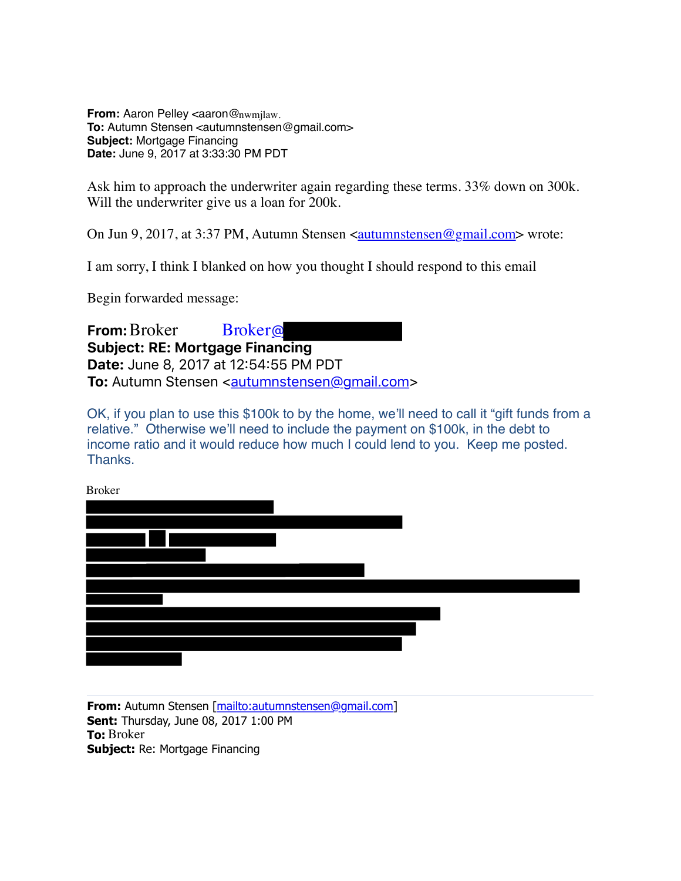**From: Aaron Pelley <aaron@nwmjlaw. To:** Autumn Stensen <autumnstensen@gmail.com> **Subject:** Mortgage Financing **Date:** June 9, 2017 at 3:33:30 PM PDT

Ask him to approach the underwriter again regarding these terms. 33% down on 300k. Will the underwriter give us a loan for 200k.

On Jun 9, 2017, at 3:37 PM, Autumn Stensen <autumnstensen@gmail.com> wrote:

I am sorry, I think I blanked on how you thought I should respond to this email

Begin forwarded message:

**From:** Broker **Subject: RE: Mortgage Financing Date:** June 8, 2017 at 12?54?55 PM PDT **To:** Autumn Stensen <autumnstensen@gmail.com> **Broker**®

OK, if you plan to use this \$100k to by the home, we'll need to call it "gift funds from a relative." Otherwise we'll need to include the payment on \$100k, in the debt to income ratio and it would reduce how much I could lend to you. Keep me posted. **Thanks** 

Broker

**From:** Autumn Stensen [mailto:autumnstensen@gmail.com] **Sent:** Thursday, June 08, 2017 1:00 PM **To:** Broker**Subject:** Re: Mortgage Financing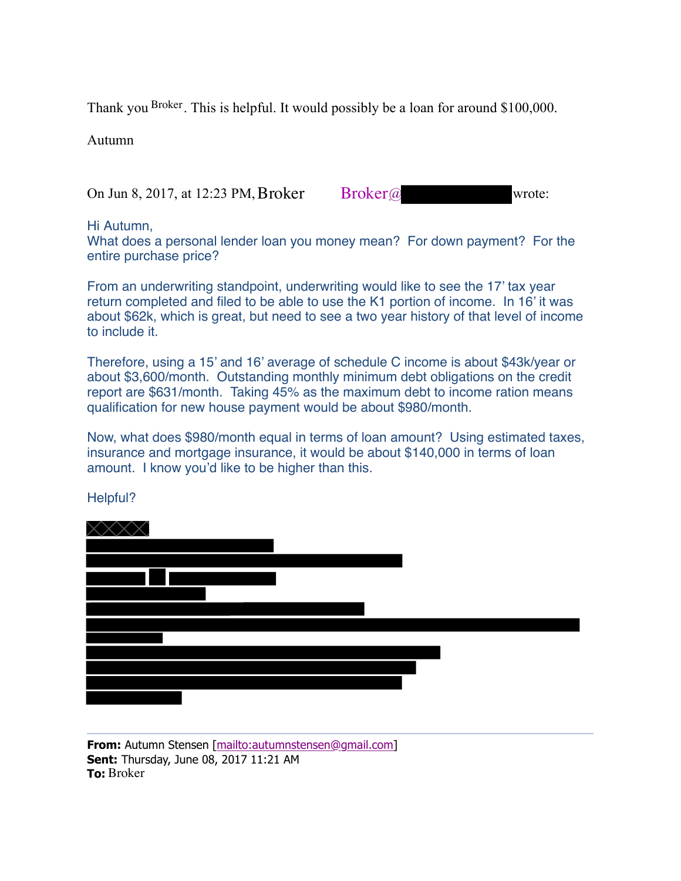Thank you  $B$ <sup>roker</sup>. This is helpful. It would possibly be a loan for around \$100,000.

Autumn

On Jun 8, 2017, at 12:23 PM, Broker Broker  $@$  wrote:

Hi Autumn,

What does a personal lender loan you money mean? For down payment? For the entire purchase price?

From an underwriting standpoint, underwriting would like to see the 17' tax year return completed and filed to be able to use the K1 portion of income. In 16' it was about \$62k, which is great, but need to see a two year history of that level of income to include it.

Therefore, using a 15' and 16' average of schedule C income is about \$43k/year or about \$3,600/month. Outstanding monthly minimum debt obligations on the credit report are \$631/month. Taking 45% as the maximum debt to income ration means qualification for new house payment would be about \$980/month.

Now, what does \$980/month equal in terms of loan amount? Using estimated taxes, insurance and mortgage insurance, it would be about \$140,000 in terms of loan amount. I know you'd like to be higher than this.

XXXX  $\overline{\phantom{a}}$ 

## Helpful?

**From:** Autumn Stensen [mailto:autumnstensen@gmail.com] **Sent:** Thursday, June 08, 2017 11:21 AM **To:** Broker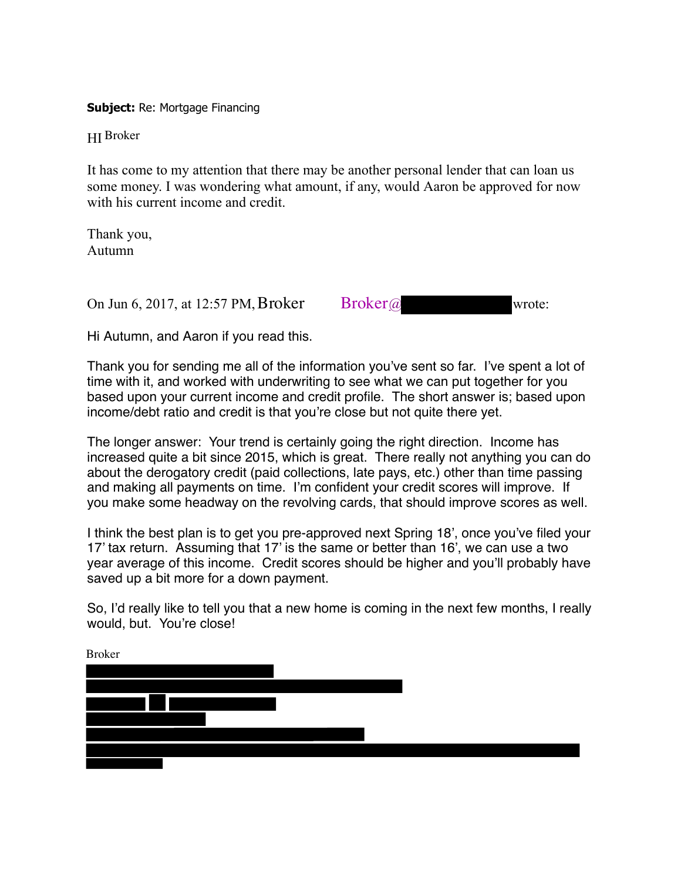**Subject:** Re: Mortgage Financing

HI Broker

It has come to my attention that there may be another personal lender that can loan us some money. I was wondering what amount, if any, would Aaron be approved for now with his current income and credit.

Thank you, Autumn

On Jun 6, 2017, at 12:57 PM, Broker Broker  $@$  wrote:

Hi Autumn, and Aaron if you read this.

Thank you for sending me all of the information you've sent so far. I've spent a lot of time with it, and worked with underwriting to see what we can put together for you based upon your current income and credit profile. The short answer is; based upon income/debt ratio and credit is that you're close but not quite there yet.

The longer answer: Your trend is certainly going the right direction. Income has increased quite a bit since 2015, which is great. There really not anything you can do about the derogatory credit (paid collections, late pays, etc.) other than time passing and making all payments on time. I'm confident your credit scores will improve. If you make some headway on the revolving cards, that should improve scores as well.

I think the best plan is to get you pre-approved next Spring 18', once you've filed your 17' tax return. Assuming that 17' is the same or better than 16', we can use a two year average of this income. Credit scores should be higher and you'll probably have saved up a bit more for a down payment.

So, I'd really like to tell you that a new home is coming in the next few months, I really would, but. You're close!

| <b>Broker</b> |  |  |  |
|---------------|--|--|--|
|               |  |  |  |
|               |  |  |  |
|               |  |  |  |
|               |  |  |  |
|               |  |  |  |
|               |  |  |  |
|               |  |  |  |